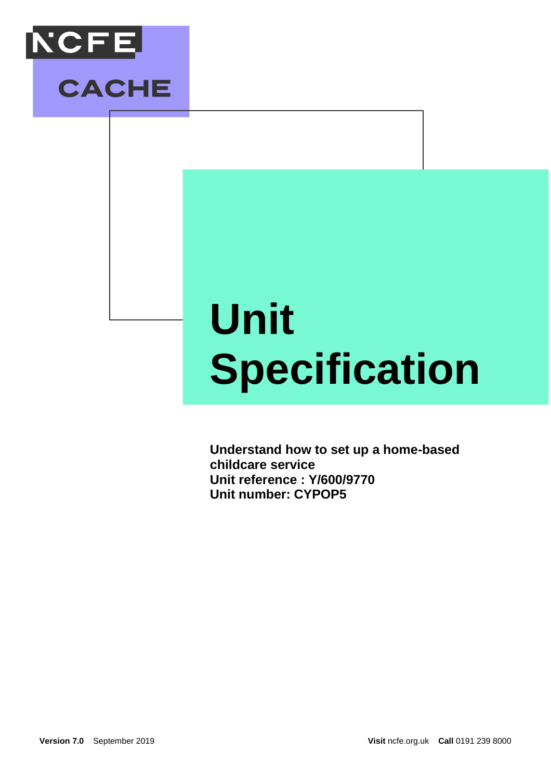

# **Unit Specification**

**Understand how to set up a home-based childcare service Unit reference : Y/600/9770 Unit number: CYPOP5**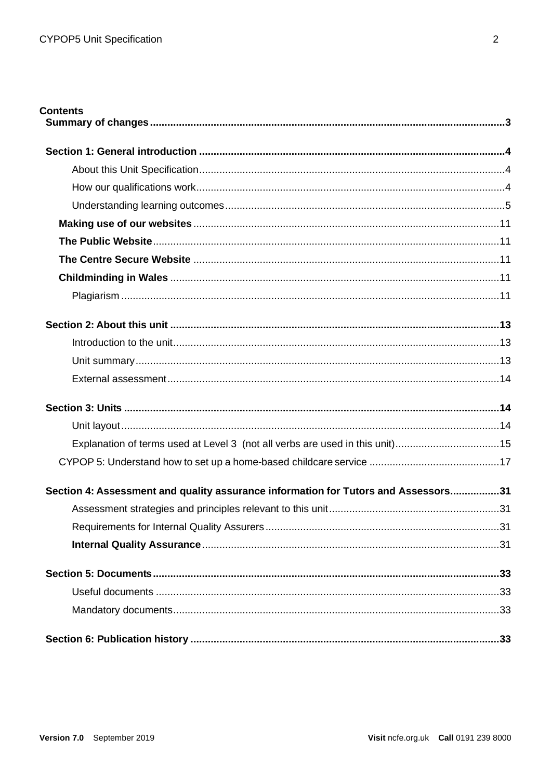| <b>Contents</b>                                                                    |  |
|------------------------------------------------------------------------------------|--|
|                                                                                    |  |
|                                                                                    |  |
|                                                                                    |  |
|                                                                                    |  |
|                                                                                    |  |
|                                                                                    |  |
|                                                                                    |  |
|                                                                                    |  |
|                                                                                    |  |
|                                                                                    |  |
|                                                                                    |  |
|                                                                                    |  |
|                                                                                    |  |
|                                                                                    |  |
|                                                                                    |  |
| Explanation of terms used at Level 3 (not all verbs are used in this unit)15       |  |
|                                                                                    |  |
| Section 4: Assessment and quality assurance information for Tutors and Assessors31 |  |
|                                                                                    |  |
|                                                                                    |  |
|                                                                                    |  |
|                                                                                    |  |
|                                                                                    |  |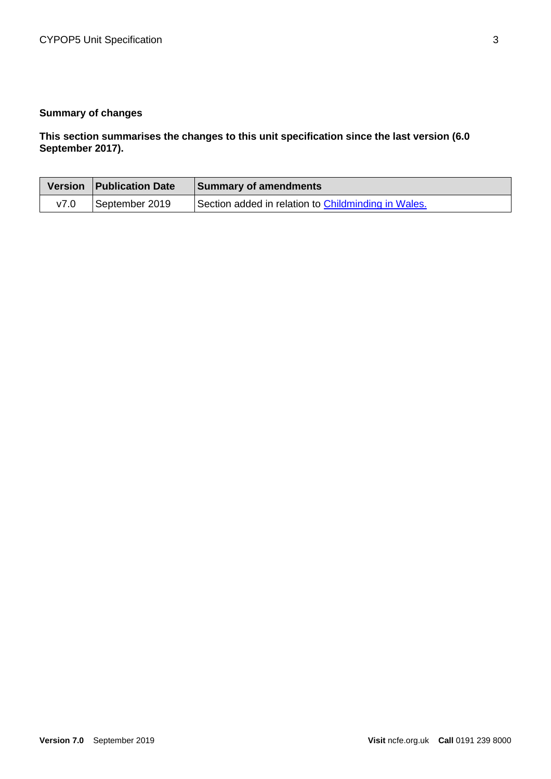# <span id="page-2-0"></span>**Summary of changes**

**This section summarises the changes to this unit specification since the last version (6.0 September 2017).** 

|      | Version   Publication Date | <b>Summary of amendments</b>                        |
|------|----------------------------|-----------------------------------------------------|
| v7.0 | September 2019             | Section added in relation to Childminding in Wales. |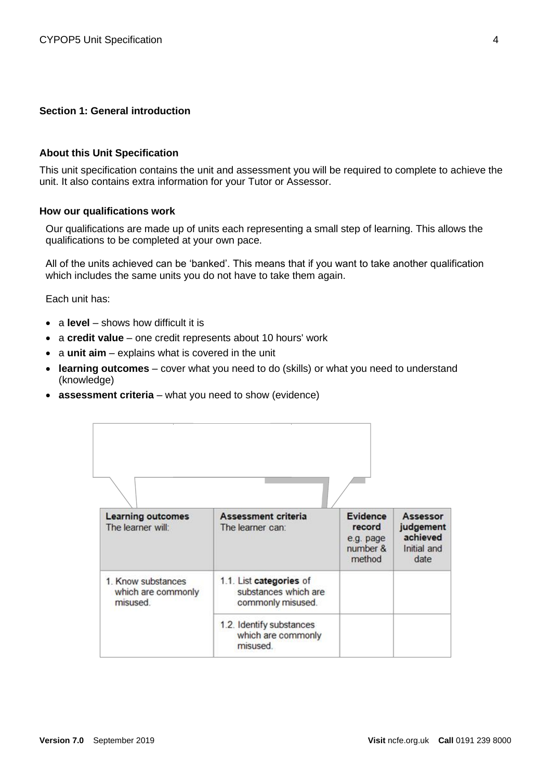#### <span id="page-3-0"></span>**Section 1: General introduction**

#### <span id="page-3-1"></span>**About this Unit Specification**

This unit specification contains the unit and assessment you will be required to complete to achieve the unit. It also contains extra information for your Tutor or Assessor.

#### <span id="page-3-2"></span>**How our qualifications work**

Our qualifications are made up of units each representing a small step of learning. This allows the qualifications to be completed at your own pace.

All of the units achieved can be 'banked'. This means that if you want to take another qualification which includes the same units you do not have to take them again.

Each unit has:

- a **level** shows how difficult it is
- a **credit value** one credit represents about 10 hours' work
- a **unit aim** explains what is covered in the unit
- **learning outcomes** cover what you need to do (skills) or what you need to understand (knowledge)
- **assessment criteria** what you need to show (evidence)

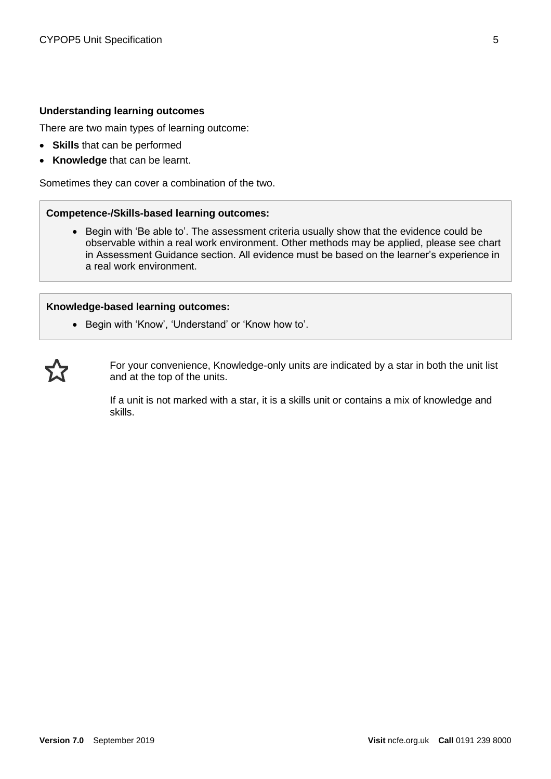#### <span id="page-4-0"></span>**Understanding learning outcomes**

There are two main types of learning outcome:

- **Skills** that can be performed
- **Knowledge** that can be learnt.

Sometimes they can cover a combination of the two.

#### **Competence-/Skills-based learning outcomes:**

• Begin with 'Be able to'. The assessment criteria usually show that the evidence could be observable within a real work environment. Other methods may be applied, please see chart in Assessment Guidance section. All evidence must be based on the learner's experience in a real work environment.

#### **Knowledge-based learning outcomes:**

• Begin with 'Know', 'Understand' or 'Know how to'.



For your convenience, Knowledge-only units are indicated by a star in both the unit list and at the top of the units.

If a unit is not marked with a star, it is a skills unit or contains a mix of knowledge and skills.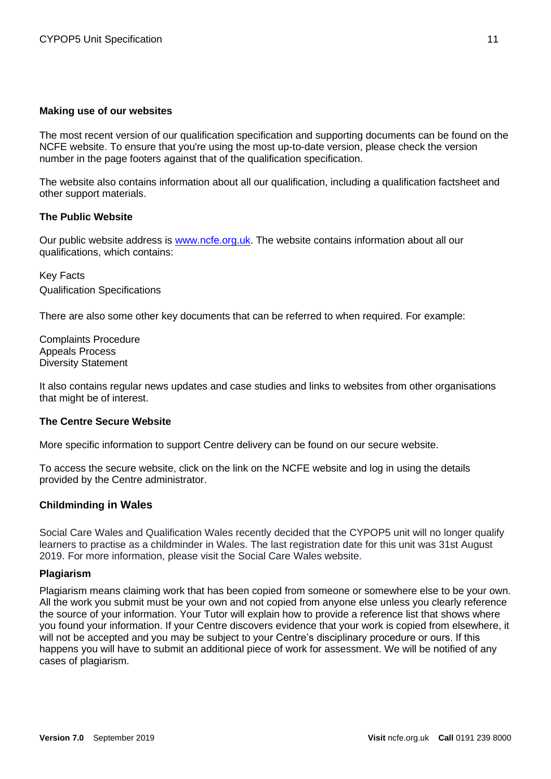#### <span id="page-5-0"></span>**Making use of our websites**

The most recent version of our qualification specification and supporting documents can be found on the NCFE website. To ensure that you're using the most up-to-date version, please check the version number in the page footers against that of the qualification specification.

The website also contains information about all our qualification, including a qualification factsheet and other support materials.

#### <span id="page-5-1"></span>**The Public Website**

Our public website address is [www.ncfe.org.uk.](http://www.ncfe.org.uk/) The website contains information about all our qualifications, which contains:

Key Facts Qualification Specifications

There are also some other key documents that can be referred to when required. For example:

Complaints Procedure Appeals Process Diversity Statement

It also contains regular news updates and case studies and links to websites from other organisations that might be of interest.

#### <span id="page-5-2"></span>**The Centre Secure Website**

More specific information to support Centre delivery can be found on our secure website.

To access the secure website, click on the link on the NCFE website and log in using the details provided by the Centre administrator.

#### <span id="page-5-3"></span>**Childminding in Wales**

Social Care Wales and Qualification Wales recently decided that the CYPOP5 unit will no longer qualify learners to practise as a childminder in Wales. The last registration date for this unit was 31st August 2019. For more information, please visit the Social Care Wales website.

#### <span id="page-5-4"></span>**Plagiarism**

Plagiarism means claiming work that has been copied from someone or somewhere else to be your own. All the work you submit must be your own and not copied from anyone else unless you clearly reference the source of your information. Your Tutor will explain how to provide a reference list that shows where you found your information. If your Centre discovers evidence that your work is copied from elsewhere, it will not be accepted and you may be subject to your Centre's disciplinary procedure or ours. If this happens you will have to submit an additional piece of work for assessment. We will be notified of any cases of plagiarism.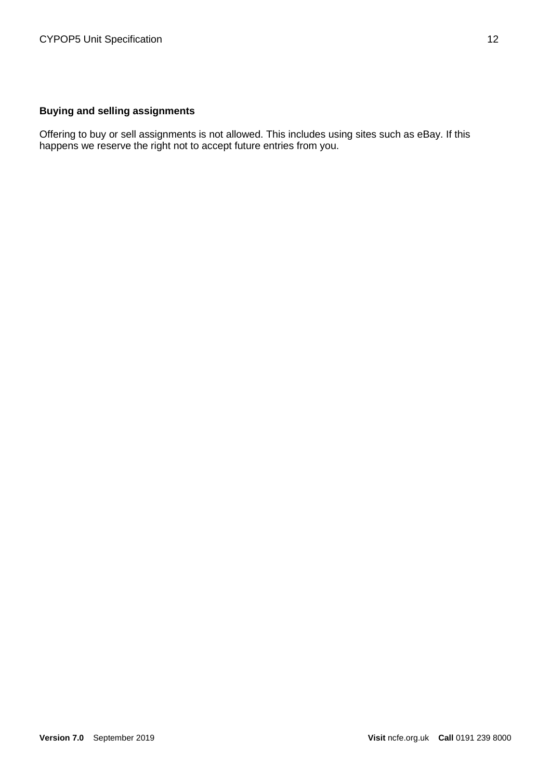# **Buying and selling assignments**

Offering to buy or sell assignments is not allowed. This includes using sites such as eBay. If this happens we reserve the right not to accept future entries from you.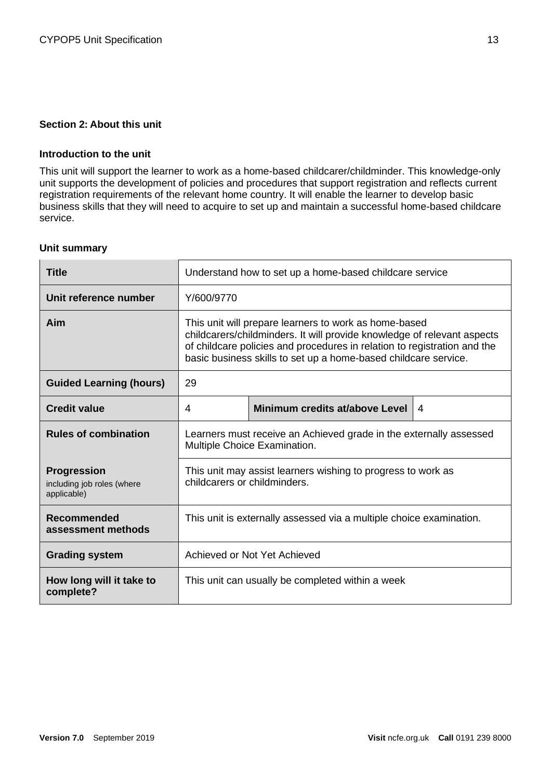#### <span id="page-7-0"></span>**Section 2: About this unit**

#### <span id="page-7-1"></span>**Introduction to the unit**

This unit will support the learner to work as a home-based childcarer/childminder. This knowledge-only unit supports the development of policies and procedures that support registration and reflects current registration requirements of the relevant home country. It will enable the learner to develop basic business skills that they will need to acquire to set up and maintain a successful home-based childcare service.

#### <span id="page-7-2"></span>**Unit summary**

| <b>Title</b>                                                    | Understand how to set up a home-based childcare service                                                                                                                                                                                                                         |                                |                |
|-----------------------------------------------------------------|---------------------------------------------------------------------------------------------------------------------------------------------------------------------------------------------------------------------------------------------------------------------------------|--------------------------------|----------------|
| Unit reference number                                           | Y/600/9770                                                                                                                                                                                                                                                                      |                                |                |
| Aim                                                             | This unit will prepare learners to work as home-based<br>childcarers/childminders. It will provide knowledge of relevant aspects<br>of childcare policies and procedures in relation to registration and the<br>basic business skills to set up a home-based childcare service. |                                |                |
| <b>Guided Learning (hours)</b>                                  | 29                                                                                                                                                                                                                                                                              |                                |                |
| <b>Credit value</b>                                             | 4                                                                                                                                                                                                                                                                               | Minimum credits at/above Level | $\overline{4}$ |
| <b>Rules of combination</b>                                     | Learners must receive an Achieved grade in the externally assessed<br>Multiple Choice Examination.                                                                                                                                                                              |                                |                |
| <b>Progression</b><br>including job roles (where<br>applicable) | This unit may assist learners wishing to progress to work as<br>childcarers or childminders.                                                                                                                                                                                    |                                |                |
| <b>Recommended</b><br>assessment methods                        | This unit is externally assessed via a multiple choice examination.                                                                                                                                                                                                             |                                |                |
| <b>Grading system</b>                                           | Achieved or Not Yet Achieved                                                                                                                                                                                                                                                    |                                |                |
| How long will it take to<br>complete?                           | This unit can usually be completed within a week                                                                                                                                                                                                                                |                                |                |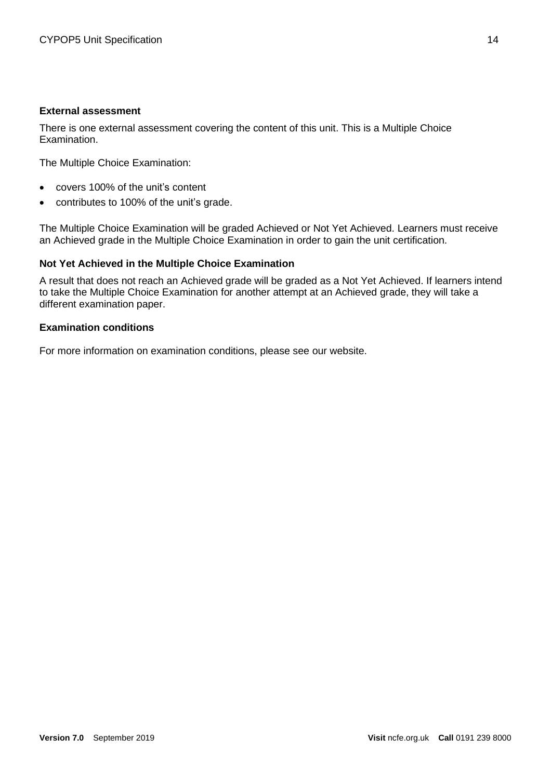#### <span id="page-8-0"></span>**External assessment**

There is one external assessment covering the content of this unit. This is a Multiple Choice Examination.

The Multiple Choice Examination:

- covers 100% of the unit's content
- contributes to 100% of the unit's grade.

The Multiple Choice Examination will be graded Achieved or Not Yet Achieved. Learners must receive an Achieved grade in the Multiple Choice Examination in order to gain the unit certification.

#### **Not Yet Achieved in the Multiple Choice Examination**

A result that does not reach an Achieved grade will be graded as a Not Yet Achieved. If learners intend to take the Multiple Choice Examination for another attempt at an Achieved grade, they will take a different examination paper.

#### **Examination conditions**

For more information on examination conditions, please see our website.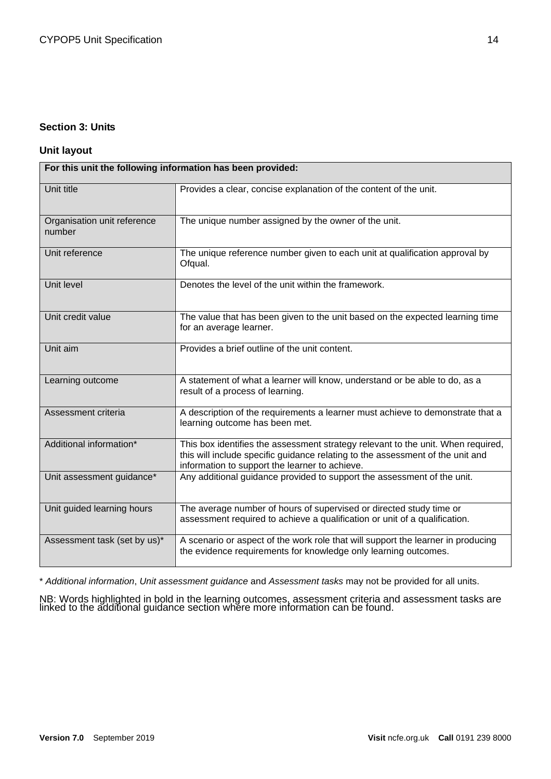#### <span id="page-9-0"></span>**Section 3: Units**

#### <span id="page-9-1"></span>**Unit layout**

| For this unit the following information has been provided: |                                                                                                                                                                                                                      |  |
|------------------------------------------------------------|----------------------------------------------------------------------------------------------------------------------------------------------------------------------------------------------------------------------|--|
| Unit title                                                 | Provides a clear, concise explanation of the content of the unit.                                                                                                                                                    |  |
| Organisation unit reference<br>number                      | The unique number assigned by the owner of the unit.                                                                                                                                                                 |  |
| Unit reference                                             | The unique reference number given to each unit at qualification approval by<br>Ofqual.                                                                                                                               |  |
| Unit level                                                 | Denotes the level of the unit within the framework.                                                                                                                                                                  |  |
| Unit credit value                                          | The value that has been given to the unit based on the expected learning time<br>for an average learner.                                                                                                             |  |
| Unit aim                                                   | Provides a brief outline of the unit content.                                                                                                                                                                        |  |
| Learning outcome                                           | A statement of what a learner will know, understand or be able to do, as a<br>result of a process of learning.                                                                                                       |  |
| Assessment criteria                                        | A description of the requirements a learner must achieve to demonstrate that a<br>learning outcome has been met.                                                                                                     |  |
| Additional information*                                    | This box identifies the assessment strategy relevant to the unit. When required,<br>this will include specific guidance relating to the assessment of the unit and<br>information to support the learner to achieve. |  |
| Unit assessment guidance*                                  | Any additional guidance provided to support the assessment of the unit.                                                                                                                                              |  |
| Unit guided learning hours                                 | The average number of hours of supervised or directed study time or<br>assessment required to achieve a qualification or unit of a qualification.                                                                    |  |
| Assessment task (set by us)*                               | A scenario or aspect of the work role that will support the learner in producing<br>the evidence requirements for knowledge only learning outcomes.                                                                  |  |

\* *Additional information*, *Unit assessment guidance* and *Assessment tasks* may not be provided for all units.

NB: Words highlighted in bold in the learning outcomes, assessment criteria and assessment tasks are linked to the additional guidance section where more information can be found.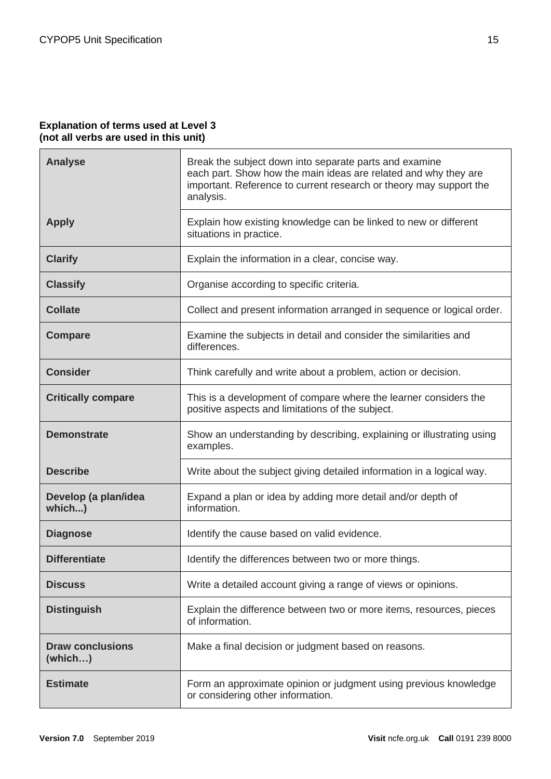#### <span id="page-10-0"></span>**Explanation of terms used at Level 3 (not all verbs are used in this unit)**

| <b>Analyse</b>                     | Break the subject down into separate parts and examine<br>each part. Show how the main ideas are related and why they are<br>important. Reference to current research or theory may support the<br>analysis. |
|------------------------------------|--------------------------------------------------------------------------------------------------------------------------------------------------------------------------------------------------------------|
| <b>Apply</b>                       | Explain how existing knowledge can be linked to new or different<br>situations in practice.                                                                                                                  |
| <b>Clarify</b>                     | Explain the information in a clear, concise way.                                                                                                                                                             |
| <b>Classify</b>                    | Organise according to specific criteria.                                                                                                                                                                     |
| <b>Collate</b>                     | Collect and present information arranged in sequence or logical order.                                                                                                                                       |
| <b>Compare</b>                     | Examine the subjects in detail and consider the similarities and<br>differences.                                                                                                                             |
| <b>Consider</b>                    | Think carefully and write about a problem, action or decision.                                                                                                                                               |
| <b>Critically compare</b>          | This is a development of compare where the learner considers the<br>positive aspects and limitations of the subject.                                                                                         |
| <b>Demonstrate</b>                 | Show an understanding by describing, explaining or illustrating using<br>examples.                                                                                                                           |
| <b>Describe</b>                    | Write about the subject giving detailed information in a logical way.                                                                                                                                        |
| Develop (a plan/idea<br>which)     | Expand a plan or idea by adding more detail and/or depth of<br>information.                                                                                                                                  |
| <b>Diagnose</b>                    | Identify the cause based on valid evidence.                                                                                                                                                                  |
| <b>Differentiate</b>               | Identify the differences between two or more things.                                                                                                                                                         |
| <b>Discuss</b>                     | Write a detailed account giving a range of views or opinions.                                                                                                                                                |
| <b>Distinguish</b>                 | Explain the difference between two or more items, resources, pieces<br>of information.                                                                                                                       |
| <b>Draw conclusions</b><br>(which) | Make a final decision or judgment based on reasons.                                                                                                                                                          |
| <b>Estimate</b>                    | Form an approximate opinion or judgment using previous knowledge<br>or considering other information.                                                                                                        |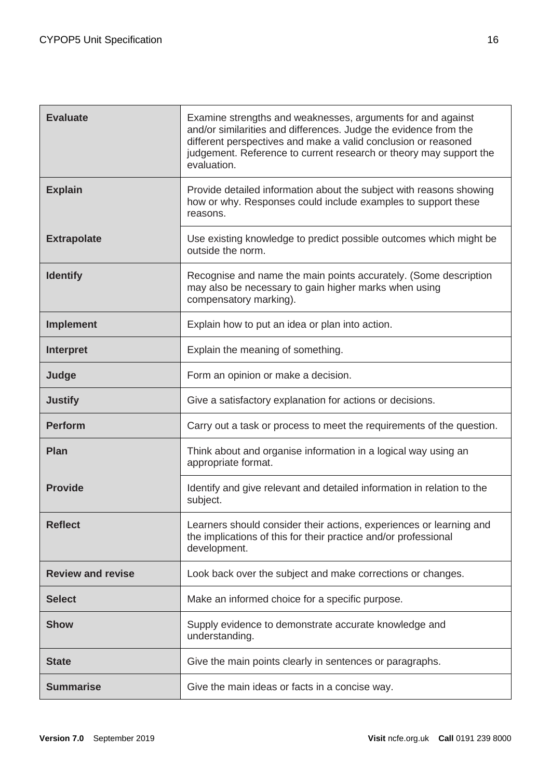| <b>Evaluate</b>          | Examine strengths and weaknesses, arguments for and against<br>and/or similarities and differences. Judge the evidence from the<br>different perspectives and make a valid conclusion or reasoned<br>judgement. Reference to current research or theory may support the<br>evaluation. |
|--------------------------|----------------------------------------------------------------------------------------------------------------------------------------------------------------------------------------------------------------------------------------------------------------------------------------|
| <b>Explain</b>           | Provide detailed information about the subject with reasons showing<br>how or why. Responses could include examples to support these<br>reasons.                                                                                                                                       |
| <b>Extrapolate</b>       | Use existing knowledge to predict possible outcomes which might be<br>outside the norm.                                                                                                                                                                                                |
| <b>Identify</b>          | Recognise and name the main points accurately. (Some description<br>may also be necessary to gain higher marks when using<br>compensatory marking).                                                                                                                                    |
| <b>Implement</b>         | Explain how to put an idea or plan into action.                                                                                                                                                                                                                                        |
| <b>Interpret</b>         | Explain the meaning of something.                                                                                                                                                                                                                                                      |
| Judge                    | Form an opinion or make a decision.                                                                                                                                                                                                                                                    |
| <b>Justify</b>           | Give a satisfactory explanation for actions or decisions.                                                                                                                                                                                                                              |
| <b>Perform</b>           | Carry out a task or process to meet the requirements of the question.                                                                                                                                                                                                                  |
| <b>Plan</b>              | Think about and organise information in a logical way using an<br>appropriate format.                                                                                                                                                                                                  |
| <b>Provide</b>           | Identify and give relevant and detailed information in relation to the<br>subject.                                                                                                                                                                                                     |
| <b>Reflect</b>           | Learners should consider their actions, experiences or learning and<br>the implications of this for their practice and/or professional<br>development.                                                                                                                                 |
| <b>Review and revise</b> | Look back over the subject and make corrections or changes.                                                                                                                                                                                                                            |
| <b>Select</b>            | Make an informed choice for a specific purpose.                                                                                                                                                                                                                                        |
| <b>Show</b>              | Supply evidence to demonstrate accurate knowledge and<br>understanding.                                                                                                                                                                                                                |
| <b>State</b>             | Give the main points clearly in sentences or paragraphs.                                                                                                                                                                                                                               |
| <b>Summarise</b>         | Give the main ideas or facts in a concise way.                                                                                                                                                                                                                                         |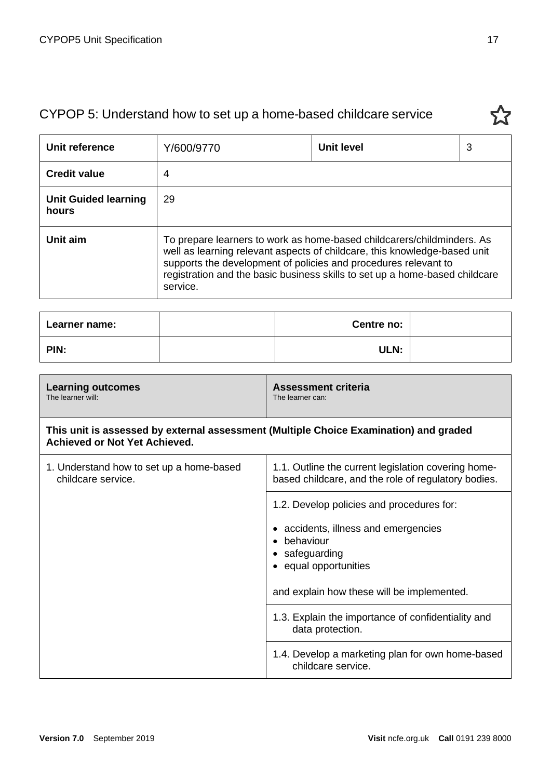# CYPOP 5: Understand how to set up a home-based childcare service

<span id="page-12-0"></span>

| Unit reference                       | Y/600/9770                                                                                                                                                                                                                                                                                                        | Unit level | 3 |
|--------------------------------------|-------------------------------------------------------------------------------------------------------------------------------------------------------------------------------------------------------------------------------------------------------------------------------------------------------------------|------------|---|
| <b>Credit value</b>                  | 4                                                                                                                                                                                                                                                                                                                 |            |   |
| <b>Unit Guided learning</b><br>hours | 29                                                                                                                                                                                                                                                                                                                |            |   |
| Unit aim                             | To prepare learners to work as home-based childcarers/childminders. As<br>well as learning relevant aspects of childcare, this knowledge-based unit<br>supports the development of policies and procedures relevant to<br>registration and the basic business skills to set up a home-based childcare<br>service. |            |   |

| Learner name: | Centre no: |  |
|---------------|------------|--|
| PIN:          | ULN:       |  |

| <b>Learning outcomes</b><br>The learner will:                                                                                 | <b>Assessment criteria</b><br>The learner can:                                                                                                                                    |
|-------------------------------------------------------------------------------------------------------------------------------|-----------------------------------------------------------------------------------------------------------------------------------------------------------------------------------|
| This unit is assessed by external assessment (Multiple Choice Examination) and graded<br><b>Achieved or Not Yet Achieved.</b> |                                                                                                                                                                                   |
| 1. Understand how to set up a home-based<br>childcare service.                                                                | 1.1. Outline the current legislation covering home-<br>based childcare, and the role of regulatory bodies.                                                                        |
|                                                                                                                               | 1.2. Develop policies and procedures for:<br>accidents, illness and emergencies<br>behaviour<br>safeguarding<br>equal opportunities<br>and explain how these will be implemented. |
|                                                                                                                               | 1.3. Explain the importance of confidentiality and<br>data protection.                                                                                                            |
|                                                                                                                               | 1.4. Develop a marketing plan for own home-based<br>childcare service.                                                                                                            |

23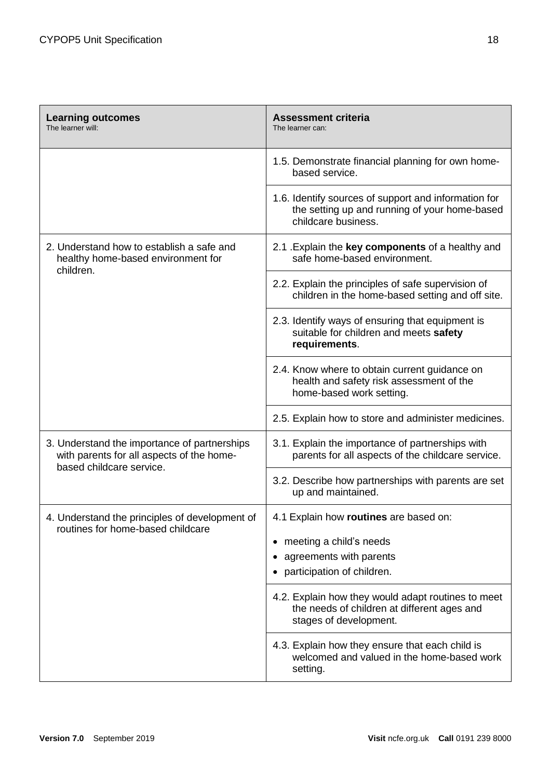| <b>Learning outcomes</b><br>The learner will:                                                                         | <b>Assessment criteria</b><br>The learner can:                                                                               |
|-----------------------------------------------------------------------------------------------------------------------|------------------------------------------------------------------------------------------------------------------------------|
|                                                                                                                       | 1.5. Demonstrate financial planning for own home-<br>based service.                                                          |
|                                                                                                                       | 1.6. Identify sources of support and information for<br>the setting up and running of your home-based<br>childcare business. |
| 2. Understand how to establish a safe and<br>healthy home-based environment for<br>children.                          | 2.1 Explain the key components of a healthy and<br>safe home-based environment.                                              |
|                                                                                                                       | 2.2. Explain the principles of safe supervision of<br>children in the home-based setting and off site.                       |
|                                                                                                                       | 2.3. Identify ways of ensuring that equipment is<br>suitable for children and meets safety<br>requirements.                  |
|                                                                                                                       | 2.4. Know where to obtain current guidance on<br>health and safety risk assessment of the<br>home-based work setting.        |
|                                                                                                                       | 2.5. Explain how to store and administer medicines.                                                                          |
| 3. Understand the importance of partnerships<br>with parents for all aspects of the home-<br>based childcare service. | 3.1. Explain the importance of partnerships with<br>parents for all aspects of the childcare service.                        |
|                                                                                                                       | 3.2. Describe how partnerships with parents are set<br>up and maintained.                                                    |
| 4. Understand the principles of development of<br>routines for home-based childcare                                   | 4.1 Explain how routines are based on:                                                                                       |
|                                                                                                                       | meeting a child's needs                                                                                                      |
|                                                                                                                       | agreements with parents                                                                                                      |
|                                                                                                                       | participation of children.                                                                                                   |
|                                                                                                                       | 4.2. Explain how they would adapt routines to meet<br>the needs of children at different ages and<br>stages of development.  |
|                                                                                                                       | 4.3. Explain how they ensure that each child is<br>welcomed and valued in the home-based work<br>setting.                    |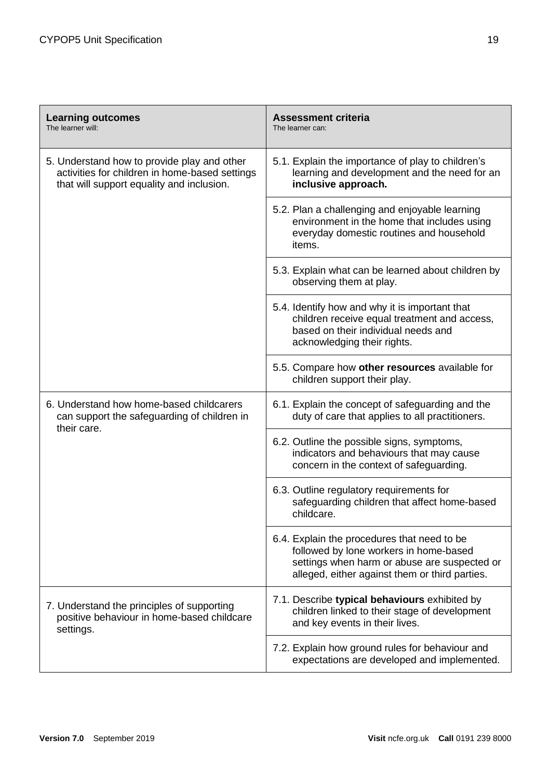| <b>Learning outcomes</b><br>The learner will:                                                                                              | <b>Assessment criteria</b><br>The learner can:                                                                                                                                          |
|--------------------------------------------------------------------------------------------------------------------------------------------|-----------------------------------------------------------------------------------------------------------------------------------------------------------------------------------------|
| 5. Understand how to provide play and other<br>activities for children in home-based settings<br>that will support equality and inclusion. | 5.1. Explain the importance of play to children's<br>learning and development and the need for an<br>inclusive approach.                                                                |
|                                                                                                                                            | 5.2. Plan a challenging and enjoyable learning<br>environment in the home that includes using<br>everyday domestic routines and household<br>items.                                     |
|                                                                                                                                            | 5.3. Explain what can be learned about children by<br>observing them at play.                                                                                                           |
|                                                                                                                                            | 5.4. Identify how and why it is important that<br>children receive equal treatment and access,<br>based on their individual needs and<br>acknowledging their rights.                    |
|                                                                                                                                            | 5.5. Compare how other resources available for<br>children support their play.                                                                                                          |
| 6. Understand how home-based childcarers<br>can support the safeguarding of children in<br>their care.                                     | 6.1. Explain the concept of safeguarding and the<br>duty of care that applies to all practitioners.                                                                                     |
|                                                                                                                                            | 6.2. Outline the possible signs, symptoms,<br>indicators and behaviours that may cause<br>concern in the context of safeguarding.                                                       |
|                                                                                                                                            | 6.3. Outline regulatory requirements for<br>safeguarding children that affect home-based<br>childcare.                                                                                  |
|                                                                                                                                            | 6.4. Explain the procedures that need to be<br>followed by lone workers in home-based<br>settings when harm or abuse are suspected or<br>alleged, either against them or third parties. |
| 7. Understand the principles of supporting<br>positive behaviour in home-based childcare<br>settings.                                      | 7.1. Describe typical behaviours exhibited by<br>children linked to their stage of development<br>and key events in their lives.                                                        |
|                                                                                                                                            | 7.2. Explain how ground rules for behaviour and<br>expectations are developed and implemented.                                                                                          |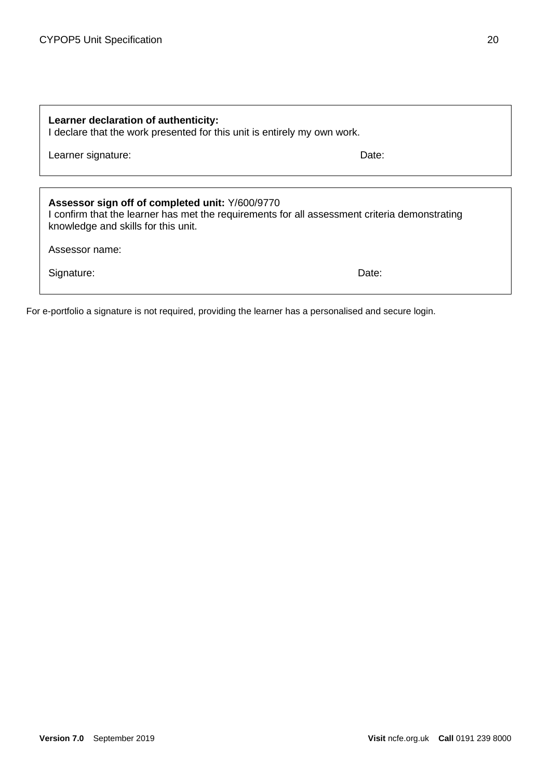| Learner declaration of authenticity:<br>I declare that the work presented for this unit is entirely my own work.                                                                        |       |  |
|-----------------------------------------------------------------------------------------------------------------------------------------------------------------------------------------|-------|--|
| Learner signature:                                                                                                                                                                      | Date: |  |
|                                                                                                                                                                                         |       |  |
| Assessor sign off of completed unit: Y/600/9770<br>I confirm that the learner has met the requirements for all assessment criteria demonstrating<br>knowledge and skills for this unit. |       |  |
| Assessor name:                                                                                                                                                                          |       |  |
| Signature:                                                                                                                                                                              | Date: |  |

For e-portfolio a signature is not required, providing the learner has a personalised and secure login.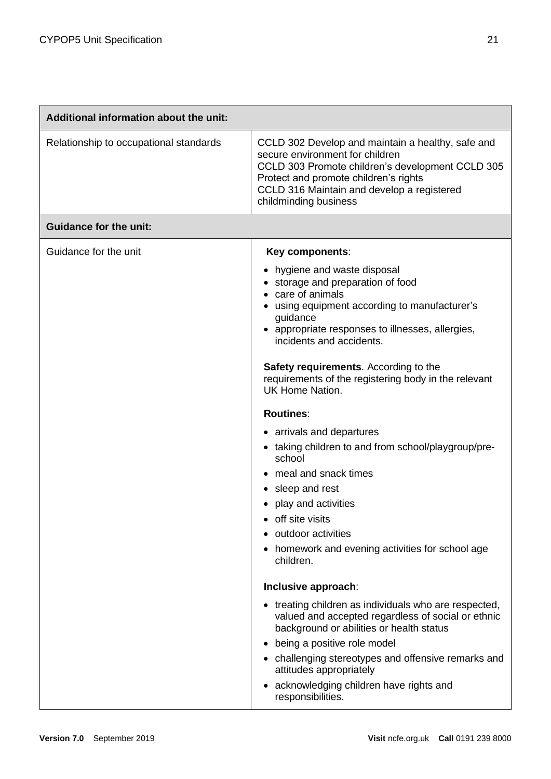| Additional information about the unit: |                                                                                                                                                                                                                                                                                                                                                                                                                                                                                                                                                                                                                                                                                                                                                                                                                                                                                                    |  |
|----------------------------------------|----------------------------------------------------------------------------------------------------------------------------------------------------------------------------------------------------------------------------------------------------------------------------------------------------------------------------------------------------------------------------------------------------------------------------------------------------------------------------------------------------------------------------------------------------------------------------------------------------------------------------------------------------------------------------------------------------------------------------------------------------------------------------------------------------------------------------------------------------------------------------------------------------|--|
| Relationship to occupational standards | CCLD 302 Develop and maintain a healthy, safe and<br>secure environment for children<br>CCLD 303 Promote children's development CCLD 305<br>Protect and promote children's rights<br>CCLD 316 Maintain and develop a registered<br>childminding business                                                                                                                                                                                                                                                                                                                                                                                                                                                                                                                                                                                                                                           |  |
| <b>Guidance for the unit:</b>          |                                                                                                                                                                                                                                                                                                                                                                                                                                                                                                                                                                                                                                                                                                                                                                                                                                                                                                    |  |
| Guidance for the unit                  | Key components:<br>hygiene and waste disposal<br>• storage and preparation of food<br>care of animals<br>using equipment according to manufacturer's<br>guidance<br>• appropriate responses to illnesses, allergies,<br>incidents and accidents.<br>Safety requirements. According to the<br>requirements of the registering body in the relevant<br><b>UK Home Nation.</b><br><b>Routines:</b><br>• arrivals and departures<br>• taking children to and from school/playgroup/pre-<br>school<br>meal and snack times<br>sleep and rest<br>play and activities<br>off site visits<br>outdoor activities<br>$\bullet$<br>homework and evening activities for school age<br>children.<br>Inclusive approach:<br>treating children as individuals who are respected,<br>valued and accepted regardless of social or ethnic<br>background or abilities or health status<br>being a positive role model |  |
|                                        | challenging stereotypes and offensive remarks and<br>attitudes appropriately<br>acknowledging children have rights and                                                                                                                                                                                                                                                                                                                                                                                                                                                                                                                                                                                                                                                                                                                                                                             |  |
|                                        | responsibilities.                                                                                                                                                                                                                                                                                                                                                                                                                                                                                                                                                                                                                                                                                                                                                                                                                                                                                  |  |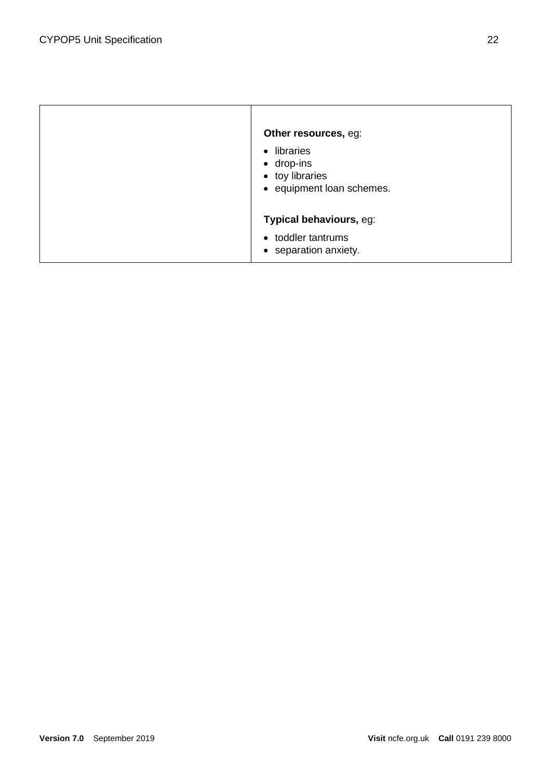| Other resources, eg:<br>• libraries<br>$\bullet$ drop-ins<br>• toy libraries<br>• equipment loan schemes. |  |
|-----------------------------------------------------------------------------------------------------------|--|
| Typical behaviours, eg:                                                                                   |  |
| • toddler tantrums<br>• separation anxiety.                                                               |  |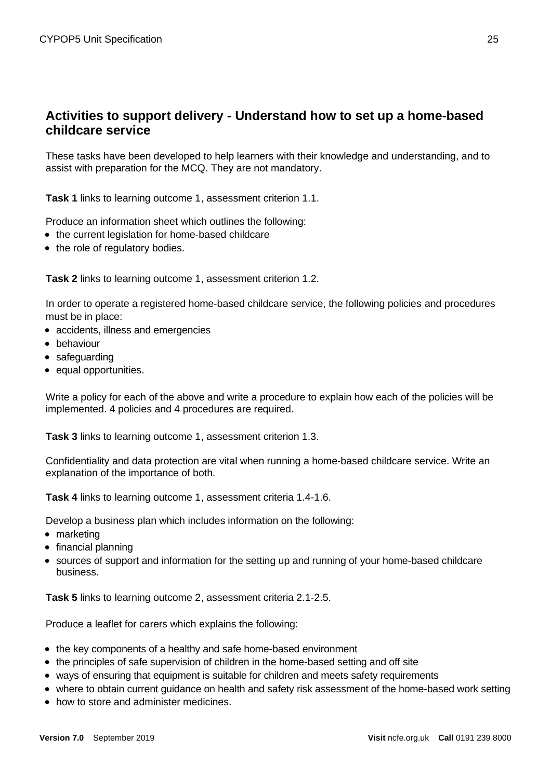# **Activities to support delivery - Understand how to set up a home-based childcare service**

These tasks have been developed to help learners with their knowledge and understanding, and to assist with preparation for the MCQ. They are not mandatory.

**Task 1** links to learning outcome 1, assessment criterion 1.1.

Produce an information sheet which outlines the following:

- the current legislation for home-based childcare
- the role of regulatory bodies.

**Task 2** links to learning outcome 1, assessment criterion 1.2.

In order to operate a registered home-based childcare service, the following policies and procedures must be in place:

- accidents, illness and emergencies
- behaviour
- safeguarding
- equal opportunities.

Write a policy for each of the above and write a procedure to explain how each of the policies will be implemented. 4 policies and 4 procedures are required.

**Task 3** links to learning outcome 1, assessment criterion 1.3.

Confidentiality and data protection are vital when running a home-based childcare service. Write an explanation of the importance of both.

**Task 4** links to learning outcome 1, assessment criteria 1.4-1.6.

Develop a business plan which includes information on the following:

- marketing
- financial planning
- sources of support and information for the setting up and running of your home-based childcare business.

**Task 5** links to learning outcome 2, assessment criteria 2.1-2.5.

Produce a leaflet for carers which explains the following:

- the key components of a healthy and safe home-based environment
- the principles of safe supervision of children in the home-based setting and off site
- ways of ensuring that equipment is suitable for children and meets safety requirements
- where to obtain current guidance on health and safety risk assessment of the home-based work setting
- how to store and administer medicines.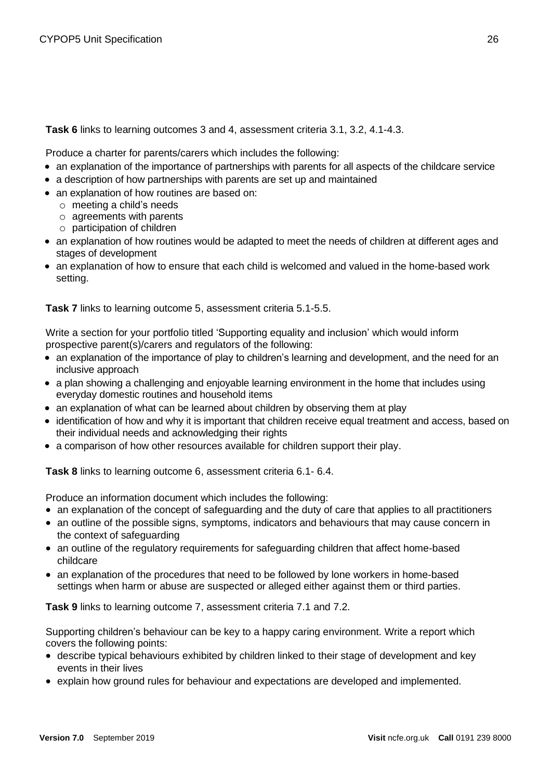#### **Task 6** links to learning outcomes 3 and 4, assessment criteria 3.1, 3.2, 4.1-4.3.

Produce a charter for parents/carers which includes the following:

- an explanation of the importance of partnerships with parents for all aspects of the childcare service
- a description of how partnerships with parents are set up and maintained
- an explanation of how routines are based on:
	- o meeting a child's needs
	- o agreements with parents
	- o participation of children
- an explanation of how routines would be adapted to meet the needs of children at different ages and stages of development
- an explanation of how to ensure that each child is welcomed and valued in the home-based work setting.

**Task 7** links to learning outcome 5, assessment criteria 5.1-5.5.

Write a section for your portfolio titled 'Supporting equality and inclusion' which would inform prospective parent(s)/carers and regulators of the following:

- an explanation of the importance of play to children's learning and development, and the need for an inclusive approach
- a plan showing a challenging and enjoyable learning environment in the home that includes using everyday domestic routines and household items
- an explanation of what can be learned about children by observing them at play
- identification of how and why it is important that children receive equal treatment and access, based on their individual needs and acknowledging their rights
- a comparison of how other resources available for children support their play.

**Task 8** links to learning outcome 6, assessment criteria 6.1- 6.4.

Produce an information document which includes the following:

- an explanation of the concept of safeguarding and the duty of care that applies to all practitioners
- an outline of the possible signs, symptoms, indicators and behaviours that may cause concern in the context of safeguarding
- an outline of the regulatory requirements for safeguarding children that affect home-based childcare
- an explanation of the procedures that need to be followed by lone workers in home-based settings when harm or abuse are suspected or alleged either against them or third parties.

**Task 9** links to learning outcome 7, assessment criteria 7.1 and 7.2.

Supporting children's behaviour can be key to a happy caring environment. Write a report which covers the following points:

- describe typical behaviours exhibited by children linked to their stage of development and key events in their lives
- explain how ground rules for behaviour and expectations are developed and implemented.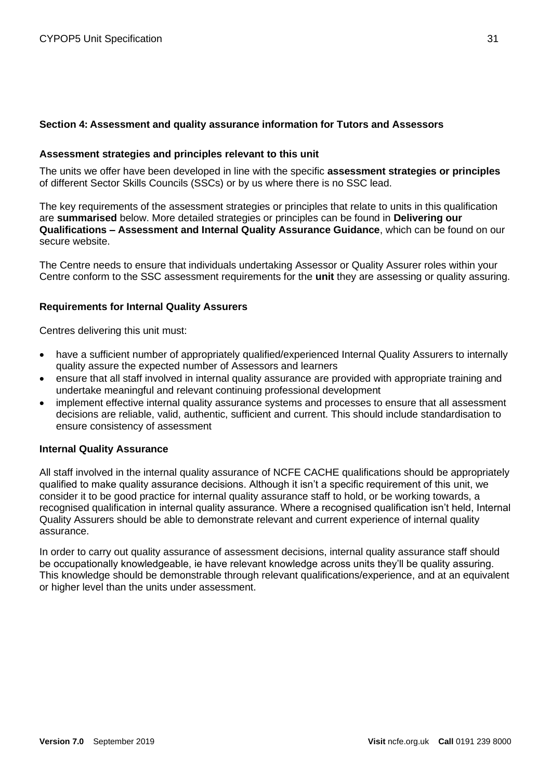#### <span id="page-20-0"></span>**Section 4: Assessment and quality assurance information for Tutors and Assessors**

#### <span id="page-20-1"></span>**Assessment strategies and principles relevant to this unit**

The units we offer have been developed in line with the specific **assessment strategies or principles** of different Sector Skills Councils (SSCs) or by us where there is no SSC lead.

The key requirements of the assessment strategies or principles that relate to units in this qualification are **summarised** below. More detailed strategies or principles can be found in **Delivering our Qualifications – Assessment and Internal Quality Assurance Guidance**, which can be found on our secure website.

The Centre needs to ensure that individuals undertaking Assessor or Quality Assurer roles within your Centre conform to the SSC assessment requirements for the **unit** they are assessing or quality assuring.

#### <span id="page-20-2"></span>**Requirements for Internal Quality Assurers**

Centres delivering this unit must:

- have a sufficient number of appropriately qualified/experienced Internal Quality Assurers to internally quality assure the expected number of Assessors and learners
- ensure that all staff involved in internal quality assurance are provided with appropriate training and undertake meaningful and relevant continuing professional development
- implement effective internal quality assurance systems and processes to ensure that all assessment decisions are reliable, valid, authentic, sufficient and current. This should include standardisation to ensure consistency of assessment

#### <span id="page-20-3"></span>**Internal Quality Assurance**

All staff involved in the internal quality assurance of NCFE CACHE qualifications should be appropriately qualified to make quality assurance decisions. Although it isn't a specific requirement of this unit, we consider it to be good practice for internal quality assurance staff to hold, or be working towards, a recognised qualification in internal quality assurance. Where a recognised qualification isn't held, Internal Quality Assurers should be able to demonstrate relevant and current experience of internal quality assurance.

In order to carry out quality assurance of assessment decisions, internal quality assurance staff should be occupationally knowledgeable, ie have relevant knowledge across units they'll be quality assuring. This knowledge should be demonstrable through relevant qualifications/experience, and at an equivalent or higher level than the units under assessment.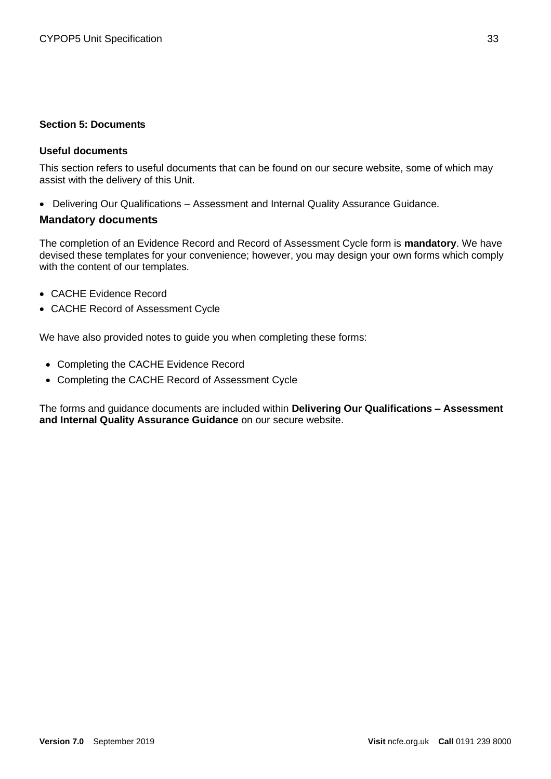#### <span id="page-21-0"></span>**Section 5: Documents**

#### <span id="page-21-1"></span>**Useful documents**

This section refers to useful documents that can be found on our secure website, some of which may assist with the delivery of this Unit.

• Delivering Our Qualifications – Assessment and Internal Quality Assurance Guidance.

#### <span id="page-21-2"></span>**Mandatory documents**

The completion of an Evidence Record and Record of Assessment Cycle form is **mandatory**. We have devised these templates for your convenience; however, you may design your own forms which comply with the content of our templates.

- CACHE Evidence Record
- CACHE Record of Assessment Cycle

We have also provided notes to guide you when completing these forms:

- Completing the CACHE Evidence Record
- Completing the CACHE Record of Assessment Cycle

The forms and guidance documents are included within **Delivering Our Qualifications – Assessment and Internal Quality Assurance Guidance** on our secure website.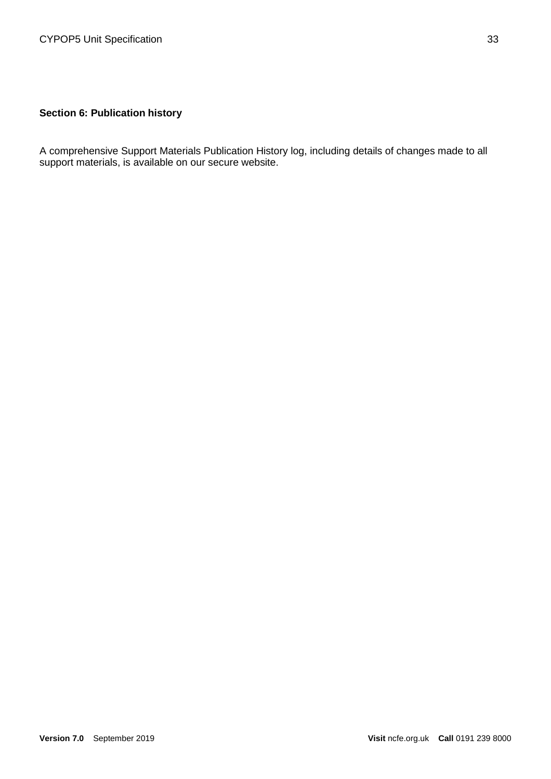# <span id="page-22-0"></span>**Section 6: Publication history**

A comprehensive Support Materials Publication History log, including details of changes made to all support materials, is available on our secure website.